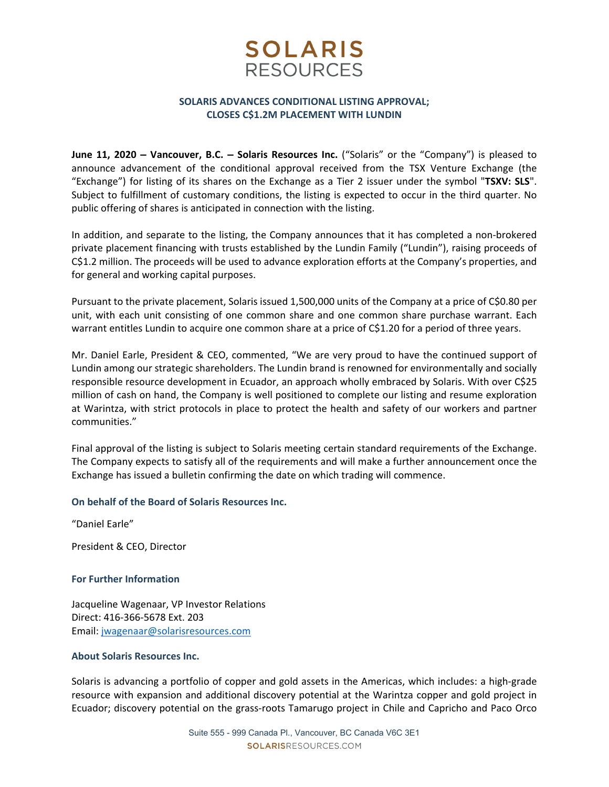## **SOLARIS RESOURCES**

### **SOLARIS ADVANCES CONDITIONAL LISTING APPROVAL; CLOSES C\$1.2M PLACEMENT WITH LUNDIN**

**June 11, 2020 – Vancouver, B.C. – Solaris Resources Inc.** ("Solaris" or the "Company") is pleased to announce advancement of the conditional approval received from the TSX Venture Exchange (the "Exchange") for listing of its shares on the Exchange as a Tier 2 issuer under the symbol "**TSXV: SLS**". Subject to fulfillment of customary conditions, the listing is expected to occur in the third quarter. No public offering of shares is anticipated in connection with the listing.

In addition, and separate to the listing, the Company announces that it has completed a non‐brokered private placement financing with trusts established by the Lundin Family ("Lundin"), raising proceeds of C\$1.2 million. The proceeds will be used to advance exploration efforts at the Company's properties, and for general and working capital purposes.

Pursuant to the private placement, Solaris issued 1,500,000 units of the Company at a price of C\$0.80 per unit, with each unit consisting of one common share and one common share purchase warrant. Each warrant entitles Lundin to acquire one common share at a price of C\$1.20 for a period of three years.

Mr. Daniel Earle, President & CEO, commented, "We are very proud to have the continued support of Lundin among our strategic shareholders. The Lundin brand is renowned for environmentally and socially responsible resource development in Ecuador, an approach wholly embraced by Solaris. With over C\$25 million of cash on hand, the Company is well positioned to complete our listing and resume exploration at Warintza, with strict protocols in place to protect the health and safety of our workers and partner communities."

Final approval of the listing is subject to Solaris meeting certain standard requirements of the Exchange. The Company expects to satisfy all of the requirements and will make a further announcement once the Exchange has issued a bulletin confirming the date on which trading will commence.

#### **On behalf of the Board of Solaris Resources Inc.**

"Daniel Earle"

President & CEO, Director

#### **For Further Information**

Jacqueline Wagenaar, VP Investor Relations Direct: 416‐366‐5678 Ext. 203 Email: jwagenaar@solarisresources.com

#### **About Solaris Resources Inc.**

Solaris is advancing a portfolio of copper and gold assets in the Americas, which includes: a high‐grade resource with expansion and additional discovery potential at the Warintza copper and gold project in Ecuador; discovery potential on the grass‐roots Tamarugo project in Chile and Capricho and Paco Orco